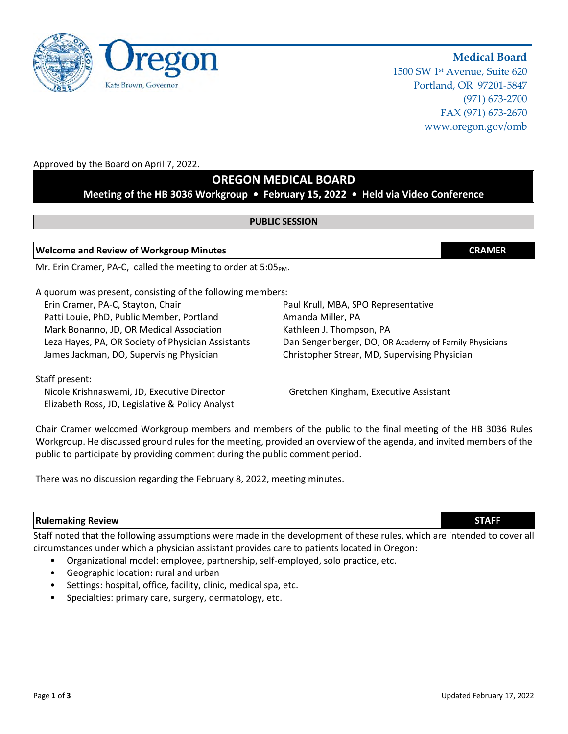

# **Medical Board**

1500 SW 1st Avenue, Suite 620 Portland, OR 97201-5847 (971) 673-2700 FAX (971) 673-2670 www.oregon.gov/omb

### Approved by the Board on April 7, 2022.

# **OREGON MEDICAL BOARD**

# **Meeting of the HB 3036 Workgroup • February 15, 2022 • Held via Video Conference**

### **PUBLIC SESSION**

#### **Welcome and Review of Workgroup Minutes CRAMER**

Mr. Erin Cramer, PA-C, called the meeting to order at  $5:05_{PM}$ .

A quorum was present, consisting of the following members:

Erin Cramer, PA-C, Stayton, Chair Paul Cramer, Paul Krull, MBA, SPO Representative Patti Louie, PhD, Public Member, Portland Amanda Miller, PA Mark Bonanno, JD, OR Medical Association Kathleen J. Thompson, PA James Jackman, DO, Supervising Physician Christopher Strear, MD, Supervising Physician

Leza Hayes, PA, OR Society of Physician Assistants Dan Sengenberger, DO, OR Academy of Family Physicians

### Staff present:

Nicole Krishnaswami, JD, Executive Director Gretchen Kingham, Executive Assistant Elizabeth Ross, JD, Legislative & Policy Analyst

Chair Cramer welcomed Workgroup members and members of the public to the final meeting of the HB 3036 Rules Workgroup. He discussed ground rules for the meeting, provided an overview of the agenda, and invited members of the public to participate by providing comment during the public comment period.

There was no discussion regarding the February 8, 2022, meeting minutes.

### **Rulemaking Review STAFF**

Staff noted that the following assumptions were made in the development of these rules, which are intended to cover all circumstances under which a physician assistant provides care to patients located in Oregon:

- Organizational model: employee, partnership, self-employed, solo practice, etc.
- Geographic location: rural and urban
- Settings: hospital, office, facility, clinic, medical spa, etc.
- Specialties: primary care, surgery, dermatology, etc.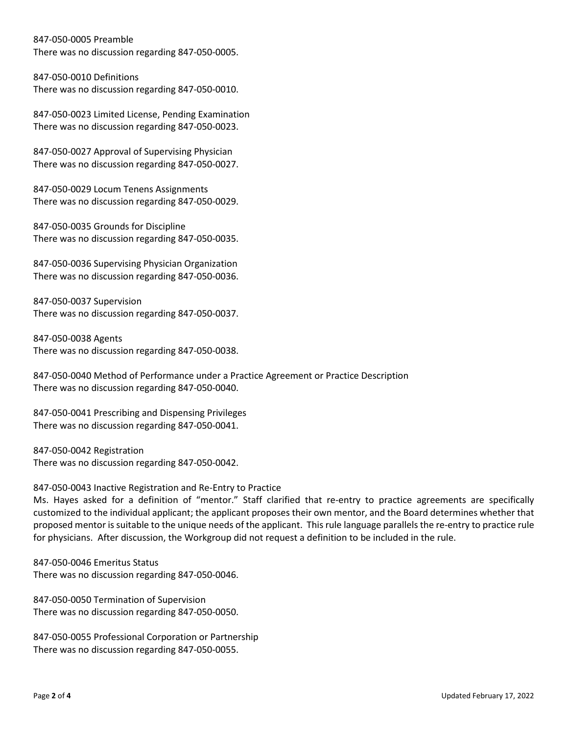847-050-0005 Preamble

There was no discussion regarding 847-050-0005.

847-050-0010 Definitions There was no discussion regarding 847-050-0010.

847-050-0023 Limited License, Pending Examination There was no discussion regarding 847-050-0023.

847-050-0027 Approval of Supervising Physician There was no discussion regarding 847-050-0027.

847-050-0029 Locum Tenens Assignments There was no discussion regarding 847-050-0029.

847-050-0035 Grounds for Discipline There was no discussion regarding 847-050-0035.

847-050-0036 Supervising Physician Organization There was no discussion regarding 847-050-0036.

847-050-0037 Supervision There was no discussion regarding 847-050-0037.

847-050-0038 Agents There was no discussion regarding 847-050-0038.

847-050-0040 Method of Performance under a Practice Agreement or Practice Description There was no discussion regarding 847-050-0040.

847-050-0041 Prescribing and Dispensing Privileges There was no discussion regarding 847-050-0041.

847-050-0042 Registration There was no discussion regarding 847-050-0042.

847-050-0043 Inactive Registration and Re-Entry to Practice

Ms. Hayes asked for a definition of "mentor." Staff clarified that re-entry to practice agreements are specifically customized to the individual applicant; the applicant proposes their own mentor, and the Board determines whether that proposed mentor is suitable to the unique needs of the applicant. This rule language parallels the re-entry to practice rule for physicians. After discussion, the Workgroup did not request a definition to be included in the rule.

847-050-0046 Emeritus Status There was no discussion regarding 847-050-0046.

847-050-0050 Termination of Supervision There was no discussion regarding 847-050-0050.

847-050-0055 Professional Corporation or Partnership There was no discussion regarding 847-050-0055.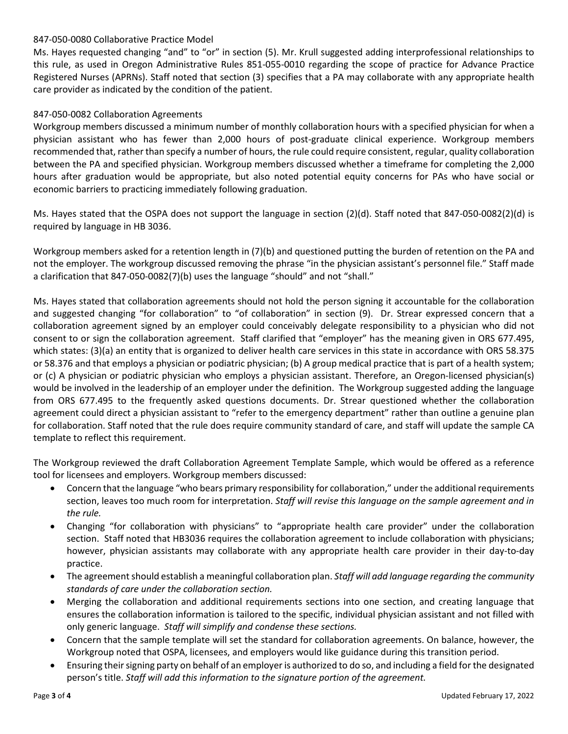### 847-050-0080 Collaborative Practice Model

Ms. Hayes requested changing "and" to "or" in section (5). Mr. Krull suggested adding interprofessional relationships to this rule, as used in Oregon Administrative Rules 851-055-0010 regarding the scope of practice for Advance Practice Registered Nurses (APRNs). Staff noted that section (3) specifies that a PA may collaborate with any appropriate health care provider as indicated by the condition of the patient.

### 847-050-0082 Collaboration Agreements

Workgroup members discussed a minimum number of monthly collaboration hours with a specified physician for when a physician assistant who has fewer than 2,000 hours of post-graduate clinical experience. Workgroup members recommended that, rather than specify a number of hours, the rule could require consistent, regular, quality collaboration between the PA and specified physician. Workgroup members discussed whether a timeframe for completing the 2,000 hours after graduation would be appropriate, but also noted potential equity concerns for PAs who have social or economic barriers to practicing immediately following graduation.

Ms. Hayes stated that the OSPA does not support the language in section (2)(d). Staff noted that 847-050-0082(2)(d) is required by language in HB 3036.

Workgroup members asked for a retention length in (7)(b) and questioned putting the burden of retention on the PA and not the employer. The workgroup discussed removing the phrase "in the physician assistant's personnel file." Staff made a clarification that 847-050-0082(7)(b) uses the language "should" and not "shall."

Ms. Hayes stated that collaboration agreements should not hold the person signing it accountable for the collaboration and suggested changing "for collaboration" to "of collaboration" in section (9). Dr. Strear expressed concern that a collaboration agreement signed by an employer could conceivably delegate responsibility to a physician who did not consent to or sign the collaboration agreement. Staff clarified that "employer" has the meaning given in ORS 677.495, which states: (3)(a) an entity that is organized to deliver health care services in this state in accordance with ORS 58.375 or 58.376 and that employs a physician or podiatric physician; (b) A group medical practice that is part of a health system; or (c) A physician or podiatric physician who employs a physician assistant. Therefore, an Oregon-licensed physician(s) would be involved in the leadership of an employer under the definition. The Workgroup suggested adding the language from ORS 677.495 to the frequently asked questions documents. Dr. Strear questioned whether the collaboration agreement could direct a physician assistant to "refer to the emergency department" rather than outline a genuine plan for collaboration. Staff noted that the rule does require community standard of care, and staff will update the sample CA template to reflect this requirement.

The Workgroup reviewed the draft Collaboration Agreement Template Sample, which would be offered as a reference tool for licensees and employers. Workgroup members discussed:

- Concern that the language "who bears primary responsibility for collaboration," under the additional requirements section, leaves too much room for interpretation. *Staff will revise this language on the sample agreement and in the rule.*
- Changing "for collaboration with physicians" to "appropriate health care provider" under the collaboration section. Staff noted that HB3036 requires the collaboration agreement to include collaboration with physicians; however, physician assistants may collaborate with any appropriate health care provider in their day-to-day practice.
- The agreement should establish a meaningful collaboration plan. *Staff will add language regarding the community standards of care under the collaboration section.*
- Merging the collaboration and additional requirements sections into one section, and creating language that ensures the collaboration information is tailored to the specific, individual physician assistant and not filled with only generic language. *Staff will simplify and condense these sections.*
- Concern that the sample template will set the standard for collaboration agreements. On balance, however, the Workgroup noted that OSPA, licensees, and employers would like guidance during this transition period.
- Ensuring their signing party on behalf of an employer is authorized to do so, and including a field for the designated person's title. *Staff will add this information to the signature portion of the agreement.*